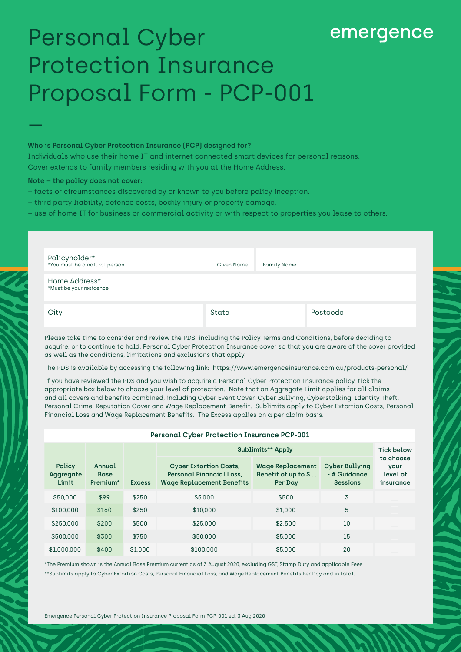# Personal Cyber Protection Insurance Proposal Form - PCP-001

### **Who is Personal Cyber Protection Insurance (PCP) designed for?**

Individuals who use their home IT and internet connected smart devices for personal reasons. Cover extends to family members residing with you at the Home Address.

#### **Note – the policy does not cover:**

\_

- facts or circumstances discovered by or known to you before policy inception.
- third party liability, defence costs, bodily injury or property damage.
- use of home IT for business or commercial activity or with respect to properties you lease to others.

| Policyholder*<br>*You must be a natural person | Given Name | <b>Family Name</b> |          |
|------------------------------------------------|------------|--------------------|----------|
| Home Address*<br>*Must be your residence       |            |                    |          |
| City                                           | State      |                    | Postcode |

emergence

Please take time to consider and review the PDS, including the Policy Terms and Conditions, before deciding to acquire, or to continue to hold, Personal Cyber Protection Insurance cover so that you are aware of the cover provided as well as the conditions, limitations and exclusions that apply.

The PDS is available by accessing the following link: https://www.emergenceinsurance.com.au/products-personal/

If you have reviewed the PDS and you wish to acquire a Personal Cyber Protection Insurance policy, tick the appropriate box below to choose your level of protection. Note that an Aggregate Limit applies for all claims and all covers and benefits combined, including Cyber Event Cover, Cyber Bullying, Cyberstalking, Identity Theft, Personal Crime, Reputation Cover and Wage Replacement Benefit. Sublimits apply to Cyber Extortion Costs, Personal Financial Loss and Wage Replacement Benefits. The Excess applies on a per claim basis.

|  | <b>Personal Cyber Protection Insurance PCP-001</b> |  |
|--|----------------------------------------------------|--|
|  |                                                    |  |

|                              |                            |               | Sublimits** Apply                                                                             |                                                           |                                                          | Tick below                                 |
|------------------------------|----------------------------|---------------|-----------------------------------------------------------------------------------------------|-----------------------------------------------------------|----------------------------------------------------------|--------------------------------------------|
| Policy<br>Aggregate<br>Limit | Annual<br>Base<br>Premium* | <b>Excess</b> | <b>Cyber Extortion Costs,</b><br>Personal Financial Loss.<br><b>Wage Replacement Benefits</b> | <b>Wage Replacement</b><br>Benefit of up to \$<br>Per Day | <b>Cyber Bullying</b><br>- # Guidance<br><b>Sessions</b> | to choose<br>your<br>level of<br>insurance |
| \$50,000                     | \$99                       | \$250         | \$5,000                                                                                       | \$500                                                     | 3                                                        |                                            |
| \$100,000                    | \$160                      | \$250         | \$10,000                                                                                      | \$1,000                                                   | 5                                                        |                                            |
| \$250,000                    | \$200                      | \$500         | \$25,000                                                                                      | \$2.500                                                   | 10                                                       |                                            |
| \$500,000                    | \$300                      | \$750         | \$50,000                                                                                      | \$5,000                                                   | 15                                                       |                                            |
| \$1,000,000                  | \$400                      | \$1,000       | \$100,000                                                                                     | \$5,000                                                   | 20                                                       |                                            |

\*The Premium shown is the Annual Base Premium current as of 3 August 2020, excluding GST, Stamp Duty and applicable Fees. \*\*Sublimits apply to Cyber Extortion Costs, Personal Financial Loss, and Wage Replacement Benefits Per Day and in total.

Emergence Personal Cyber Protection Insurance Proposal Form PCP-001 ed. 3 Aug 2020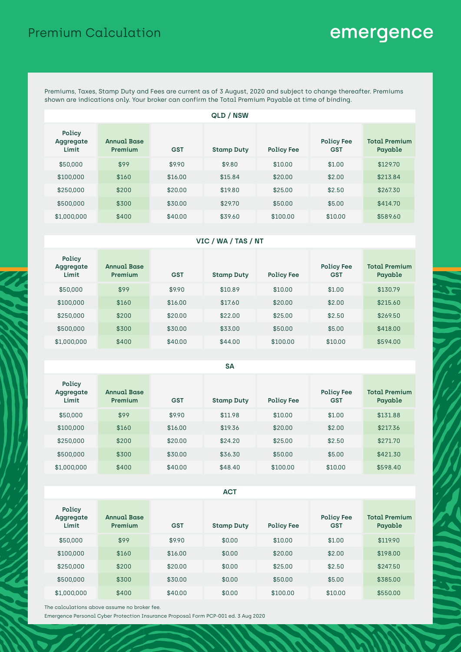# Premium Calculation

# emergence

Premiums, Taxes, Stamp Duty and Fees are current as of 3 August, 2020 and subject to change thereafter. Premiums shown are indications only. Your broker can confirm the Total Premium Payable at time of binding.

|                              |                               |            | QLD / NSW         |                   |                                 |                                 |
|------------------------------|-------------------------------|------------|-------------------|-------------------|---------------------------------|---------------------------------|
| Policy<br>Aggregate<br>Limit | <b>Annual Base</b><br>Premium | <b>GST</b> | <b>Stamp Duty</b> | <b>Policy Fee</b> | <b>Policy Fee</b><br><b>GST</b> | <b>Total Premium</b><br>Payable |
| \$50,000                     | \$99                          | \$9.90     | \$9.80            | \$10.00           | \$1.00                          | \$129.70                        |
| \$100,000                    | \$160                         | \$16.00    | \$15.84           | \$20.00           | \$2.00                          | \$213.84                        |
| \$250,000                    | \$200                         | \$20.00    | \$19.80           | \$25.00           | \$2.50                          | \$267.30                        |
| \$500,000                    | \$300                         | \$30.00    | \$29.70           | \$50.00           | \$5.00                          | \$414.70                        |
| \$1,000,000                  | \$400                         | \$40.00    | \$39.60           | \$100.00          | \$10.00                         | \$589.60                        |

### **VIC / WA / TAS / NT**

| Policy<br>Aggregate<br>Limit | <b>Annual Base</b><br>Premium | <b>GST</b> | <b>Stamp Duty</b> | <b>Policy Fee</b> | <b>Policy Fee</b><br><b>GST</b> | <b>Total Premium</b><br>Payable |
|------------------------------|-------------------------------|------------|-------------------|-------------------|---------------------------------|---------------------------------|
| \$50,000                     | \$99                          | \$9.90     | \$10.89           | \$10.00           | \$1.00                          | \$130.79                        |
| \$100,000                    | \$160                         | \$16.00    | \$17.60           | \$20.00           | \$2.00                          | \$215.60                        |
| \$250,000                    | \$200                         | \$20.00    | \$22.00           | \$25.00           | \$2.50                          | \$269.50                        |
| \$500,000                    | \$300                         | \$30.00    | \$33.00           | \$50.00           | \$5.00                          | \$418.00                        |
| \$1,000,000                  | \$400                         | \$40.00    | \$44.00           | \$100.00          | \$10.00                         | \$594.00                        |

#### **SA**

| Policy<br>Aggregate<br>Limit | <b>Annual Base</b><br>Premium | <b>GST</b> | <b>Stamp Duty</b> | <b>Policy Fee</b> | <b>Policy Fee</b><br><b>GST</b> | <b>Total Premium</b><br>Payable |
|------------------------------|-------------------------------|------------|-------------------|-------------------|---------------------------------|---------------------------------|
| \$50,000                     | \$99                          | \$9.90     | \$11.98           | \$10.00           | \$1.00                          | \$131.88                        |
| \$100,000                    | \$160                         | \$16.00    | \$19.36           | \$20.00           | \$2.00                          | \$217.36                        |
| \$250,000                    | \$200                         | \$20.00    | \$24.20           | \$25.00           | \$2.50                          | \$271.70                        |
| \$500,000                    | \$300                         | \$30.00    | \$36.30           | \$50.00           | \$5.00                          | \$421.30                        |
| \$1,000,000                  | \$400                         | \$40.00    | \$48.40           | \$100.00          | \$10.00                         | \$598.40                        |

#### **ACT**

| Policy<br>Aggregate<br>Limit | <b>Annual Base</b><br>Premium | <b>GST</b> | <b>Stamp Duty</b> | <b>Policy Fee</b> | <b>Policy Fee</b><br><b>GST</b> | <b>Total Premium</b><br>Payable |
|------------------------------|-------------------------------|------------|-------------------|-------------------|---------------------------------|---------------------------------|
| \$50,000                     | \$99                          | \$9.90     | \$0.00            | \$10.00           | \$1.00                          | \$119.90                        |
| \$100,000                    | \$160                         | \$16.00    | \$0.00            | \$20.00           | \$2.00                          | \$198.00                        |
| \$250,000                    | \$200                         | \$20.00    | \$0.00            | \$25.00           | \$2.50                          | \$247.50                        |
| \$500,000                    | \$300                         | \$30.00    | \$0.00            | \$50.00           | \$5.00                          | \$385.00                        |
| \$1,000,000                  | \$400                         | \$40.00    | \$0.00            | \$100.00          | \$10.00                         | \$550.00                        |

The calculations above assume no broker fee.

Emergence Personal Cyber Protection Insurance Proposal Form PCP-001 ed. 3 Aug 2020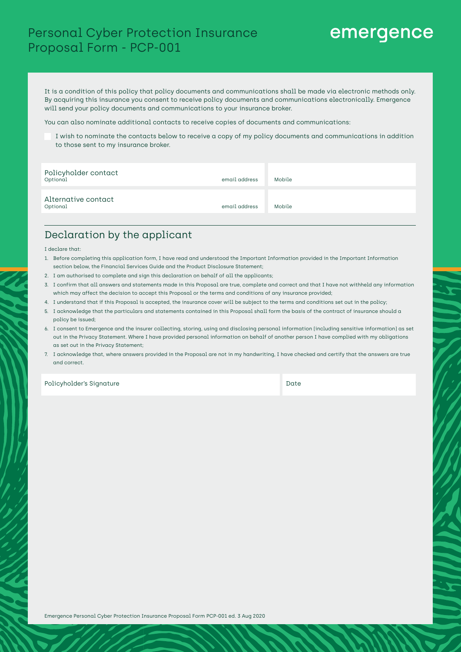### Personal Cyber Protection Insurance Proposal Form - PCP-001

# emergence

It is a condition of this policy that policy documents and communications shall be made via electronic methods only. By acquiring this insurance you consent to receive policy documents and communications electronically. Emergence will send your policy documents and communications to your insurance broker.

You can also nominate additional contacts to receive copies of documents and communications:

I wish to nominate the contacts below to receive a copy of my policy documents and communications in addition to those sent to my insurance broker.

| Policyholder contact<br>Optional | email address | Mobile |
|----------------------------------|---------------|--------|
| Alternative contact<br>Optional  | email address | Mobile |

### Declaration by the applicant

#### I declare that:

- 1. Before completing this application form, I have read and understood the Important Information provided in the Important Information section below, the Financial Services Guide and the Product Disclosure Statement;
- 2. I am authorised to complete and sign this declaration on behalf of all the applicants;
- 3. I confirm that all answers and statements made in this Proposal are true, complete and correct and that I have not withheld any information which may affect the decision to accept this Proposal or the terms and conditions of any insurance provided;
- 4. I understand that if this Proposal is accepted, the insurance cover will be subject to the terms and conditions set out in the policy;
- 5. I acknowledge that the particulars and statements contained in this Proposal shall form the basis of the contract of insurance should a policy be issued;
- 6. I consent to Emergence and the insurer collecting, storing, using and disclosing personal information (including sensitive information) as set out in the Privacy Statement. Where I have provided personal information on behalf of another person I have complied with my obligations as set out in the Privacy Statement;
- 7. I acknowledge that, where answers provided in the Proposal are not in my handwriting, I have checked and certify that the answers are true and correct.

Policyholder's Signature Date Date Date Date